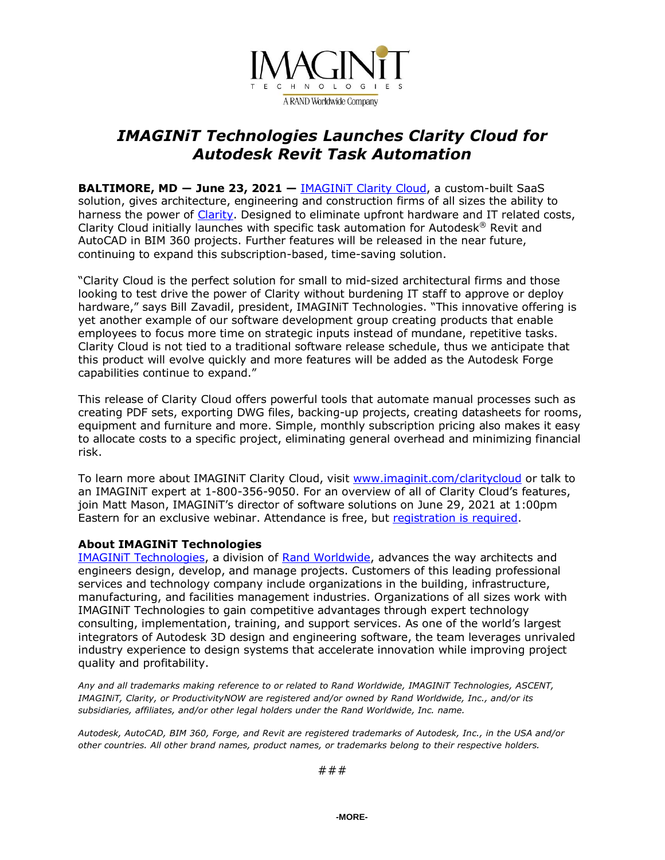

## *IMAGINiT Technologies Launches Clarity Cloud for Autodesk Revit Task Automation*

**BALTIMORE, MD ― June 23, 2021 —** [IMAGINiT](https://www.imaginit.com/software/imaginit-utilities-other-products/clarity-cloud/platform?utm_source=dynamic&utm_medium=press-release&utm_campaign=Clarity-Cloud) Clarity Cloud, a custom-built SaaS solution, gives architecture, engineering and construction firms of all sizes the ability to harness the power of [Clarity.](https://www.imaginit.com/software/imaginit-utilities-other-products/clarity?utm_source=dynamic&utm_medium=press-release&utm_campaign=Clarity-Cloud) Designed to eliminate upfront hardware and IT related costs, Clarity Cloud initially launches with specific task automation for Autodesk® Revit and AutoCAD in BIM 360 projects. Further features will be released in the near future, continuing to expand this subscription-based, time-saving solution.

"Clarity Cloud is the perfect solution for small to mid-sized architectural firms and those looking to test drive the power of Clarity without burdening IT staff to approve or deploy hardware," says Bill Zavadil, president, IMAGINiT Technologies. "This innovative offering is yet another example of our software development group creating products that enable employees to focus more time on strategic inputs instead of mundane, repetitive tasks. Clarity Cloud is not tied to a traditional software release schedule, thus we anticipate that this product will evolve quickly and more features will be added as the Autodesk Forge capabilities continue to expand."

This release of Clarity Cloud offers powerful tools that automate manual processes such as creating PDF sets, exporting DWG files, backing-up projects, creating datasheets for rooms, equipment and furniture and more. Simple, monthly subscription pricing also makes it easy to allocate costs to a specific project, eliminating general overhead and minimizing financial risk.

To learn more about IMAGINIT Clarity Cloud, visit [www.imaginit.com/claritycloud](https://www.imaginit.com/software/imaginit-utilities-other-products/clarity-cloud/platform?utm_source=dynamic&utm_medium=press-release&utm_campaign=Clarity-Cloud) or talk to an IMAGINiT expert at 1-800-356-9050. For an overview of all of Clarity Cloud's features, join Matt Mason, IMAGINiT's director of software solutions on June 29, 2021 at 1:00pm Eastern for an exclusive webinar. Attendance is free, but [registration](https://attendee.gotowebinar.com/register/1532528309673293325?source=a2u4u000000zvHU) is required.

## **About IMAGINiT Technologies**

IMAGINiT [Technologies,](https://www.imaginit.com/?utm_source=dynamic&utm_medium=press-release&utm_campaign=Clarity-Cloud) a division of Rand [Worldwide,](https://rand.com/?utm_source=dynamic&utm_medium=press-release&utm_campaign=Clarity-Cloud) advances the way architects and engineers design, develop, and manage projects. Customers of this leading professional services and technology company include organizations in the building, infrastructure, manufacturing, and facilities management industries. Organizations of all sizes work with IMAGINiT Technologies to gain competitive advantages through expert technology consulting, implementation, training, and support services. As one of the world's largest integrators of Autodesk 3D design and engineering software, the team leverages unrivaled industry experience to design systems that accelerate innovation while improving project quality and profitability.

*Any and all trademarks making reference to or related to Rand Worldwide, IMAGINiT Technologies, ASCENT, IMAGINiT, Clarity, or ProductivityNOW are registered and/or owned by Rand Worldwide, Inc., and/or its subsidiaries, affiliates, and/or other legal holders under the Rand Worldwide, Inc. name.*

Autodesk, AutoCAD, BIM 360, Forge, and Revit are registered trademarks of Autodesk, Inc., in the USA and/or *other countries. All other brand names, product names, or trademarks belong to their respective holders.*